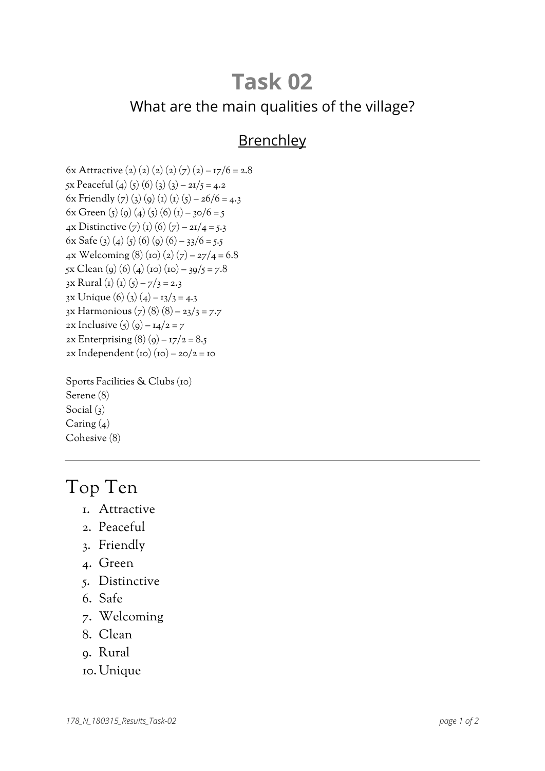# **Task 02** What are the main qualities of the village?

#### **Brenchley**

6x Attractive (2) (2) (2) (2) (7) (2) –  $17/6 = 2.8$ 5x Peaceful (4) (5) (6) (3) (3) – 21/5 = 4.2 6x Friendly (7) (3) (9) (1) (1) (5) – 26/6 = 4.3 6x Green (5) (9) (4) (5) (6) (1) – 30/6 = 5 4x Distinctive  $(7)(1)(6)(7) - 21/4 = 5.3$ 6x Safe (3) (4) (5) (6) (6) (6) – 33/6 = 5.5 4x Welcoming (8) (10) (2) (7) –  $27/4 = 6.8$  $5x \text{ Clean}$  (9) (6) (4) (10) (10) – 39/5 = 7.8 3x Rural (1) (1) (5) – 7/3 = 2.3  $3x \text{ Unique}$  (6) (3) (4) –  $13/3 = 4.3$ 3x Harmonious  $(7)$  (8)  $(8)$  – 23/3 = 7.7 2x Inclusive  $(5)(9) - 14/2 = 7$ 2x Enterprising  $(8)(9) - 17/2 = 8.5$  $2x$  Independent (10) (10) –  $20/2 = 10$ 

Sports Facilities & Clubs (10) Serene (8) Social  $(3)$ Caring  $(4)$ Cohesive (8)

### Top Ten

- 1. Attractive
- 2. Peaceful
- 3. Friendly
- 4. Green
- 5. Distinctive
- 6. Safe
- 7. Welcoming
- 8. Clean
- 9. Rural
- 10. Unique